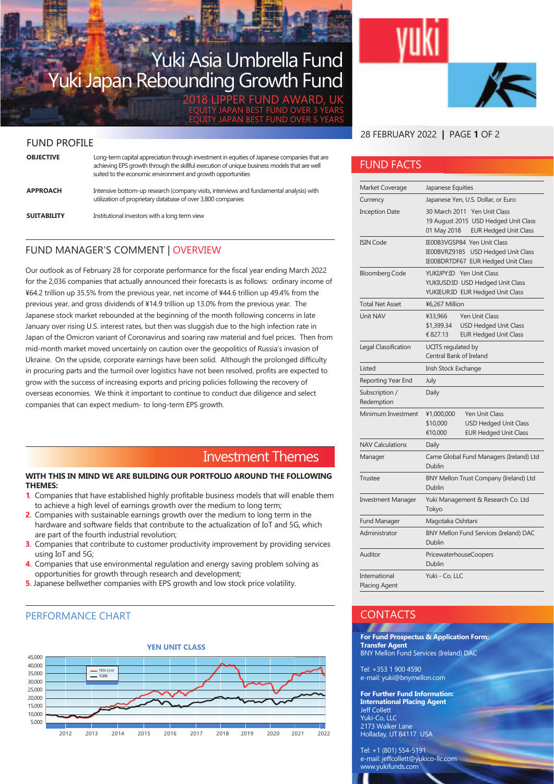# Yuki Asia Umbrella Fund Yuki Japan Rebounding Growth Fund

2018 LIPPER FUND AWARD, UK EQUITY JAPAN BEST FUND OVER 3 YEARS EQUITY JAPAN BEST FUND OVER 5 YEARS

#### FUND PROFILE

| <b>OBJECTIVE</b>   | Long-term capital appreciation through investment in equities of Japanese companies that are<br>achieving EPS growth through the skillful execution of unique business models that are well<br>suited to the economic environment and growth opportunities |
|--------------------|------------------------------------------------------------------------------------------------------------------------------------------------------------------------------------------------------------------------------------------------------------|
| <b>APPROACH</b>    | Intensive bottom-up research (company visits, interviews and fundamental analysis) with<br>utilization of proprietary database of over 3,800 companies                                                                                                     |
| <b>SUITABILITY</b> | Institutional investors with a long term view                                                                                                                                                                                                              |

### FUND MANAGER'S COMMENT | OVERVIEW

Our outlook as of February 28 for corporate performance for the fiscal year ending March 2022 for the 2,036 companies that actually announced their forecasts is as follows: ordinary income of ¥64.2 trillion up 35.5% from the previous year, net income of ¥44.6 trillion up 49.4% from the previous year, and gross dividends of ¥14.9 trillion up 13.0% from the previous year. The Japanese stock market rebounded at the beginning of the month following concerns in late January over rising U.S. interest rates, but then was sluggish due to the high infection rate in Japan of the Omicron variant of Coronavirus and soaring raw material and fuel prices. Then from mid-month market moved uncertainly on caution over the geopolitics of Russia's invasion of Ukraine. On the upside, corporate earnings have been solid. Although the prolonged difficulty in procuring parts and the turmoil over logistics have not been resolved, profits are expected to grow with the success of increasing exports and pricing policies following the recovery of overseas economies. We think it important to continue to conduct due diligence and select companies that can expect medium- to long-term EPS growth.

# Investment Themes

#### **WITH THIS IN MIND WE ARE BUILDING OUR PORTFOLIO AROUND THE FOLLOWING THEMES:**

- **1**. Companies that have established highly profitable business models that will enable them to achieve a high level of earnings growth over the medium to long term;
- **2**. Companies with sustainable earnings growth over the medium to long term in the hardware and software fields that contribute to the actualization of IoT and 5G, which are part of the fourth industrial revolution;
- **3**. Companies that contribute to customer productivity improvement by providing services using IoT and 5G;
- **4**. Companies that use environmental regulation and energy saving problem solving as opportunities for growth through research and development;
- **5**. Japanese bellwether companies with EPS growth and low stock price volatility.

#### PERFORMANCE CHART



#### 28 FEBRUARY 2022 **|** PAGE **1** OF 2

### FUND FACTS

| Market Coverage                       | Japanese Equities                                                                                                          |  |  |  |  |  |
|---------------------------------------|----------------------------------------------------------------------------------------------------------------------------|--|--|--|--|--|
| Currency                              | Japanese Yen, U.S. Dollar, or Euro                                                                                         |  |  |  |  |  |
| <b>Inception Date</b>                 | 30 March 2011 Yen Unit Class<br>19 August 2015 USD Hedged Unit Class<br>01 May 2018<br><b>EUR Hedged Unit Class</b>        |  |  |  |  |  |
| <b>ISIN Code</b>                      | IE00B3VGSP84 Yen Unit Class<br>IE00BVRZ9185 USD Hedged Unit Class<br>IE00BDRTDF67 EUR Hedged Unit Class                    |  |  |  |  |  |
| <b>Bloomberg Code</b>                 | YUKIJPY:ID Yen Unit Class<br>YUKIUSD:ID USD Hedged Unit Class<br>YUKIEUR:ID EUR Hedged Unit Class                          |  |  |  |  |  |
| <b>Total Net Asset</b>                | ¥6,267 Million                                                                                                             |  |  |  |  |  |
| Unit NAV                              | <b>Yen Unit Class</b><br>¥33,966<br><b>USD Hedged Unit Class</b><br>\$1,399.34<br>€ 827.13<br><b>EUR Hedged Unit Class</b> |  |  |  |  |  |
| Legal Classification                  | UCITS regulated by<br>Central Bank of Ireland                                                                              |  |  |  |  |  |
| Listed                                | Irish Stock Exchange                                                                                                       |  |  |  |  |  |
| Reporting Year End                    | July                                                                                                                       |  |  |  |  |  |
| Subscription /<br>Redemption          | Daily                                                                                                                      |  |  |  |  |  |
| Minimum Investment                    | <b>Yen Unit Class</b><br>¥1,000,000<br><b>USD Hedged Unit Class</b><br>\$10,000<br><b>EUR Hedged Unit Class</b><br>€10,000 |  |  |  |  |  |
| <b>NAV Calculations</b>               | Daily                                                                                                                      |  |  |  |  |  |
| Manager                               | Carne Global Fund Managers (Ireland) Ltd<br>Dublin                                                                         |  |  |  |  |  |
| Trustee                               | BNY Mellon Trust Company (Ireland) Ltd<br>Dublin                                                                           |  |  |  |  |  |
| <b>Investment Manager</b>             | Yuki Management & Research Co. Ltd<br>Tokyo                                                                                |  |  |  |  |  |
| <b>Fund Manager</b>                   | Magotaka Oshitani                                                                                                          |  |  |  |  |  |
| Administrator                         | BNY Mellon Fund Services (Ireland) DAC<br>Dublin                                                                           |  |  |  |  |  |
| Auditor                               | PricewaterhouseCoopers<br>Dublin                                                                                           |  |  |  |  |  |
| International<br><b>Placing Agent</b> | Yuki - Co, LLC                                                                                                             |  |  |  |  |  |

#### **CONTACTS**

**For Fund Prospectus & Application Form: Transfer Agent**  BNY Mellon Fund Services (Ireland) DAC

Tel: +353 1 900 4590 e-mail: yuki@bnymellon.com

**For Further Fund Information: International Placing Agent** Jeff Collett Yuki-Co, LLC 2173 Walker Lane Holladay, UT 84117 USA

Tel: +1 (801) 554-5191 e-mail: jeffcollett@yukico-llc.com www.yukifunds.com